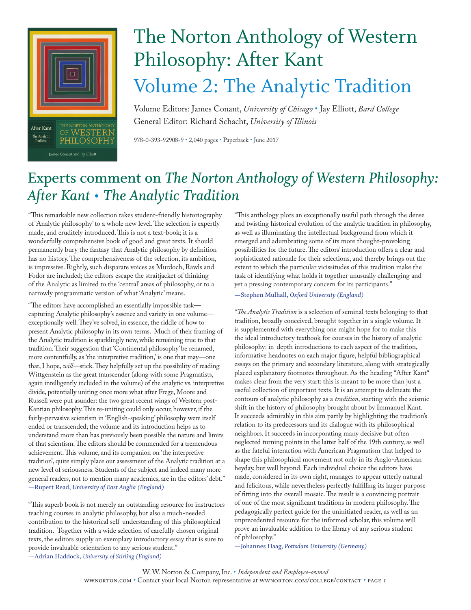

## The Norton Anthology of Western Philosophy: After Kant Volume 2: The Analytic Tradition

Volume Editors: James Conant, *University of Chicago* • Jay Elliott, *Bard College* General Editor: Richard Schacht, *University of Illinois*

978-0-393-92908-9 • 2,040 pages • Paperback • June 2017

## **Experts comment on** *The Norton Anthology of Western Philosophy: After Kant • The Analytic Tradition*

"This remarkable new collection takes student-friendly historiography of 'Analytic philosophy' to a whole new level. The selection is expertly made, and eruditely introduced. This is not a text-book; it is a wonderfully comprehensive book of good and great texts. It should permanently bury the fantasy that Analytic philosophy by definition has no history. The comprehensiveness of the selection, its ambition, is impressive. Rightly, such disparate voices as Murdoch, Rawls and Fodor are included; the editors escape the straitjacket of thinking of the Analytic as limited to the 'central' areas of philosophy, or to a narrowly programmatic version of what 'Analytic' means.

"The editors have accomplished an essentially impossible task capturing Analytic philosophy's essence and variety in one volume exceptionally well. They've solved, in essence, the riddle of how to present Analytic philosophy in its own terms. Much of their framing of the Analytic tradition is sparklingly new, while remaining true to that tradition. Their suggestion that 'Continental philosophy' be renamed, more contentfully, as 'the interpretive tradition,' is one that may—one that, I hope, *will*—stick. They helpfully set up the possibility of reading Wittgenstein as the great transcender (along with some Pragmatists, again intelligently included in the volume) of the analytic vs. interpretive divide, potentially uniting once more what after Frege, Moore and Russell were put asunder: the two great recent wings of Western post-Kantian philosophy. This re-uniting could only occur, however, if the fairly-pervasive scientism in 'English-speaking' philosophy were itself ended or transcended; the volume and its introduction helps us to understand more than has previously been possible the nature and limits of that scientism. The editors should be commended for a tremendous achievement. This volume, and its companion on 'the interpretive tradition', quite simply place our assessment of the Analytic tradition at a new level of seriousness. Students of the subject and indeed many more general readers, not to mention many academics, are in the editors' debt." **—Rupert Read,** *University of East Anglia (England)*

"This superb book is not merely an outstanding resource for instructors teaching courses in analytic philosophy, but also a much-needed contribution to the historical self-understanding of this philosophical tradition. Together with a wide selection of carefully chosen original texts, the editors supply an exemplary introductory essay that is sure to provide invaluable orientation to any serious student." *—***Adrian Haddock,** *University of Stirling (England)* 

"This anthology plots an exceptionally useful path through the dense and twisting historical evolution of the analytic tradition in philosophy, as well as illuminating the intellectual background from which it emerged and adumbrating some of its more thought-provoking possibilities for the future. The editors' introduction offers a clear and sophisticated rationale for their selections, and thereby brings out the extent to which the particular vicissitudes of this tradition make the task of identifying what holds it together unusually challenging and yet a pressing contemporary concern for its participants."

**—Stephen Mulhall,** *Oxford University (England)*

*"The Analytic Tradition* is a selection of seminal texts belonging to that tradition, broadly conceived, brought together in a single volume. It is supplemented with everything one might hope for to make this the ideal introductory textbook for courses in the history of analytic philosophy: in-depth introductions to each aspect of the tradition, informative headnotes on each major figure, helpful bibliographical essays on the primary and secondary literature, along with strategically placed explanatory footnotes throughout. As the heading \*After Kant\* makes clear from the very start: this is meant to be more than just a useful collection of important texts. It is an attempt to delineate the contours of analytic philosophy as a *tradition*, starting with the seismic shift in the history of philosophy brought about by Immanuel Kant. It succeeds admirably in this aim partly by highlighting the tradition's relation to its predecessors and its dialogue with its philosophical neighbors. It succeeds in incorporating many decisive but often neglected turning points in the latter half of the 19th century, as well as the fateful interaction with American Pragmatism that helped to shape this philosophical movement not only in its Anglo-American heyday, but well beyond. Each individual choice the editors have made, considered in its own right, manages to appear utterly natural and felicitous, while nevertheless perfectly fulfilling its larger purpose of fitting into the overall mosaic. The result is a convincing portrait of one of the most significant traditions in modern philosophy. The pedagogically perfect guide for the uninitiated reader, as well as an unprecedented resource for the informed scholar, this volume will prove an invaluable addition to the library of any serious student of philosophy."

*—***Johannes Haag,** *Pottsdam University (Germany)*